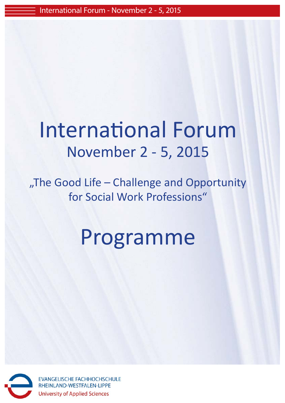## International Forum November 2 - 5, 2015

"The Good Life - Challenge and Opportunity for Social Work Professions"

# Programme



**EVANGELISCHE FACHHOCHSCHULE** RHEINLAND-WESTFALEN-LIPPE **University of Applied Sciences**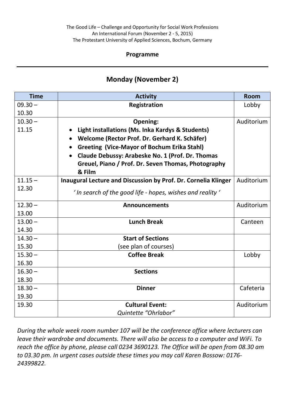#### **Programme**

#### **Monday (November 2)**

| <b>Time</b>        | <b>Activity</b>                                                 | <b>Room</b> |
|--------------------|-----------------------------------------------------------------|-------------|
| $09.30 -$          | <b>Registration</b>                                             | Lobby       |
| 10.30              |                                                                 |             |
| $10.30 -$          | Opening:                                                        | Auditorium  |
| 11.15              | Light installations (Ms. Inka Kardys & Students)                |             |
|                    | Welcome (Rector Prof. Dr. Gerhard K. Schäfer)                   |             |
|                    | <b>Greeting (Vice-Mayor of Bochum Erika Stahl)</b><br>$\bullet$ |             |
|                    | Claude Debussy: Arabeske No. 1 (Prof. Dr. Thomas                |             |
|                    | Greuel, Piano / Prof. Dr. Seven Thomas, Photography             |             |
|                    | & Film                                                          |             |
| $11.15 -$          | Inaugural Lecture and Discussion by Prof. Dr. Cornelia Klinger  | Auditorium  |
| 12.30              | $'$ In search of the good life - hopes, wishes and reality $'$  |             |
|                    |                                                                 |             |
| $12.30 -$          | <b>Announcements</b>                                            | Auditorium  |
| 13.00              | <b>Lunch Break</b>                                              |             |
| $13.00 -$<br>14.30 |                                                                 | Canteen     |
| $14.30 -$          | <b>Start of Sections</b>                                        |             |
| 15.30              |                                                                 |             |
| $15.30 -$          | (see plan of courses)<br><b>Coffee Break</b>                    |             |
| 16.30              |                                                                 | Lobby       |
| $16.30 -$          | <b>Sections</b>                                                 |             |
| 18.30              |                                                                 |             |
| $18.30 -$          | <b>Dinner</b>                                                   | Cafeteria   |
| 19.30              |                                                                 |             |
| 19.30              | <b>Cultural Event:</b>                                          | Auditorium  |
|                    | Quintette "Ohrlabor"                                            |             |
|                    |                                                                 |             |

*During the whole week room number 107 will be the conference office where lecturers can leave their wardrobe and documents. There will also be access to a computer and WiFi. To reach the office by phone, please call 0234 3690123. The Office will be open from 08.30 am to 03.30 pm. In urgent cases outside these times you may call Karen Bossow: 0176- 24399822.*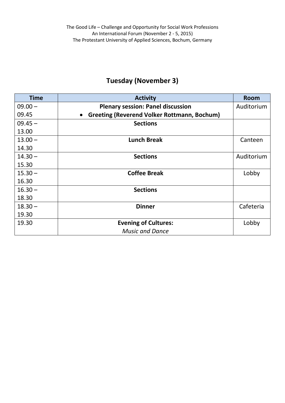## **Tuesday (November 3)**

| <b>Time</b> | <b>Activity</b>                                                 | <b>Room</b> |
|-------------|-----------------------------------------------------------------|-------------|
| $09.00 -$   | <b>Plenary session: Panel discussion</b>                        | Auditorium  |
| 09.45       | <b>Greeting (Reverend Volker Rottmann, Bochum)</b><br>$\bullet$ |             |
| $09.45 -$   | <b>Sections</b>                                                 |             |
| 13.00       |                                                                 |             |
| $13.00 -$   | <b>Lunch Break</b>                                              | Canteen     |
| 14.30       |                                                                 |             |
| $14.30 -$   | <b>Sections</b>                                                 | Auditorium  |
| 15.30       |                                                                 |             |
| $15.30 -$   | <b>Coffee Break</b>                                             | Lobby       |
| 16.30       |                                                                 |             |
| $16.30 -$   | <b>Sections</b>                                                 |             |
| 18.30       |                                                                 |             |
| $18.30 -$   | <b>Dinner</b>                                                   | Cafeteria   |
| 19.30       |                                                                 |             |
| 19.30       | <b>Evening of Cultures:</b>                                     | Lobby       |
|             | <b>Music and Dance</b>                                          |             |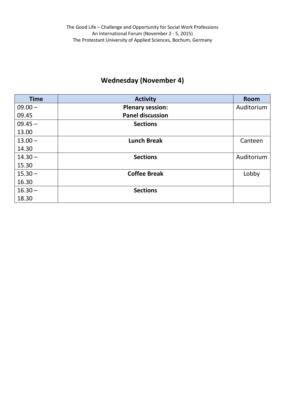## **Wednesday (November 4)**

| <b>Time</b> | <b>Activity</b>         | <b>Room</b> |
|-------------|-------------------------|-------------|
| $09.00 -$   | <b>Plenary session:</b> | Auditorium  |
| 09.45       | <b>Panel discussion</b> |             |
| $09.45 -$   | <b>Sections</b>         |             |
| 13.00       |                         |             |
| $13.00 -$   | <b>Lunch Break</b>      | Canteen     |
| 14.30       |                         |             |
| $14.30 -$   | <b>Sections</b>         | Auditorium  |
| 15.30       |                         |             |
| $15.30 -$   | <b>Coffee Break</b>     | Lobby       |
| 16.30       |                         |             |
| $16.30 -$   | <b>Sections</b>         |             |
| 18.30       |                         |             |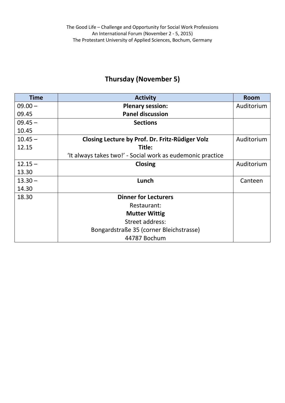## **Thursday (November 5)**

| <b>Time</b> | <b>Activity</b>                                            | <b>Room</b> |
|-------------|------------------------------------------------------------|-------------|
| $09.00 -$   | <b>Plenary session:</b>                                    | Auditorium  |
| 09.45       | <b>Panel discussion</b>                                    |             |
| $09.45 -$   | <b>Sections</b>                                            |             |
| 10.45       |                                                            |             |
| $10.45 -$   | Closing Lecture by Prof. Dr. Fritz-Rüdiger Volz            | Auditorium  |
| 12.15       | Title:                                                     |             |
|             | 'It always takes two!' - Social work as eudemonic practice |             |
| $12.15 -$   | <b>Closing</b>                                             | Auditorium  |
| 13.30       |                                                            |             |
| $13.30 -$   | Lunch                                                      | Canteen     |
| 14.30       |                                                            |             |
| 18.30       | <b>Dinner for Lecturers</b>                                |             |
|             | Restaurant:                                                |             |
|             | <b>Mutter Wittig</b>                                       |             |
|             | Street address:                                            |             |
|             | Bongardstraße 35 (corner Bleichstrasse)                    |             |
|             | 44787 Bochum                                               |             |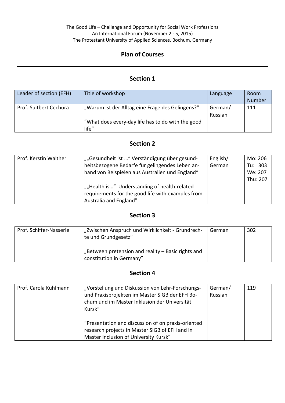#### The Good Life – Challenge and Opportunity for Social Work Professions An International Forum (November 2 - 5, 2015) The Protestant University of Applied Sciences, Bochum, Germany

#### **Plan of Courses**

#### **Section 1**

| Leader of section (EFH) | Title of workshop                                          | Language           | <b>Room</b><br><b>Number</b> |
|-------------------------|------------------------------------------------------------|--------------------|------------------------------|
| Prof. Suitbert Cechura  | "Warum ist der Alltag eine Frage des Gelingens?"           | German/<br>Russian | 111                          |
|                         | "What does every-day life has to do with the good<br>life" |                    |                              |

#### **Section 2**

| Prof. Kerstin Walther | ""Gesundheit ist " Verständigung über gesund-     | English/ | Mo: 206  |
|-----------------------|---------------------------------------------------|----------|----------|
|                       | heitsbezogene Bedarfe für gelingendes Leben an-   | German   | Tu: 303  |
|                       | hand von Beispielen aus Australien und England"   |          | We: 207  |
|                       |                                                   |          | Thu: 207 |
|                       | ""Health is" Understanding of health-related      |          |          |
|                       | requirements for the good life with examples from |          |          |
|                       | Australia and England"                            |          |          |

#### **Section 3**

| Prof. Schiffer-Nasserie | "Zwischen Anspruch und Wirklichkeit - Grundrech-<br>te und Grundgesetz"        | German | 302 |
|-------------------------|--------------------------------------------------------------------------------|--------|-----|
|                         | "Between pretension and reality – Basic rights and<br>constitution in Germany" |        |     |

#### **Section 4**

| Prof. Carola Kuhlmann | "Vorstellung und Diskussion von Lehr-Forschungs-<br>und Praxisprojekten im Master SIGB der EFH Bo-<br>chum und im Master Inklusion der Universität<br>Kursk" | German/<br>Russian | 119 |
|-----------------------|--------------------------------------------------------------------------------------------------------------------------------------------------------------|--------------------|-----|
|                       | "Presentation and discussion of on praxis-oriented<br>research projects in Master SIGB of EFH and in<br>Master Inclusion of University Kursk"                |                    |     |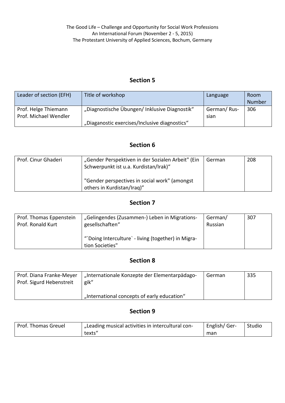#### **Section 5**

| Leader of section (EFH)                       | Title of workshop                             | Language            | Room<br>Number |
|-----------------------------------------------|-----------------------------------------------|---------------------|----------------|
| Prof. Helge Thiemann<br>Prof. Michael Wendler | "Diagnostische Übungen/ Inklusive Diagnostik" | German/Rus-<br>sian | 306            |
|                                               | "Diaganostic exercises/Inclusive diagnostics" |                     |                |

#### **Section 6**

| Prof. Cinur Ghaderi | "Gender Perspektiven in der Sozialen Arbeit" (Ein<br>Schwerpunkt ist u.a. Kurdistan/Irak)" | German | 208 |
|---------------------|--------------------------------------------------------------------------------------------|--------|-----|
|                     | "Gender perspectives in social work" (amongst<br>others in Kurdistan/Iraq)"                |        |     |

#### **Section 7**

| Prof. Thomas Eppenstein | "Gelingendes (Zusammen-) Leben in Migrations-                          | German/ | 307 |
|-------------------------|------------------------------------------------------------------------|---------|-----|
| Prof. Ronald Kurt       | gesellschaften"                                                        | Russian |     |
|                         | "'Doing Interculture' - living (together) in Migra-<br>tion Societies" |         |     |

#### **Section 8**

| Prof. Diana Franke-Meyer<br>Prof. Sigurd Hebenstreit | "Internationale Konzepte der Elementarpädago-<br>gik" | German | 335 |
|------------------------------------------------------|-------------------------------------------------------|--------|-----|
|                                                      | "International concepts of early education"           |        |     |

#### **Section 9**

| Prof. Thomas Greuel | I "Leading musical activities in intercultural con- | English/Ger- | Studio |
|---------------------|-----------------------------------------------------|--------------|--------|
|                     | texts"                                              | man          |        |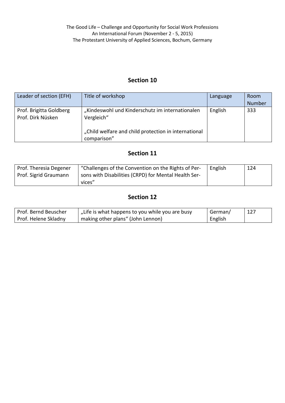#### **Section 10**

| Leader of section (EFH)                      | Title of workshop                                                                                                                    | Language | Room<br>Number |
|----------------------------------------------|--------------------------------------------------------------------------------------------------------------------------------------|----------|----------------|
| Prof. Brigitta Goldberg<br>Prof. Dirk Nüsken | "Kindeswohl und Kinderschutz im internationalen<br>Vergleich"<br>"Child welfare and child protection in international<br>comparison" | English  | 333            |

#### **Section 11**

| Prof. Theresia Degener | "Challenges of the Convention on the Rights of Per-  | English | 124 |
|------------------------|------------------------------------------------------|---------|-----|
| Prof. Sigrid Graumann  | sons with Disabilities (CRPD) for Mental Health Ser- |         |     |
|                        | vices"                                               |         |     |

#### **Section 12**

| Prof. Bernd Beuscher | "Life is what happens to you while you are busy | German/ | 127 |
|----------------------|-------------------------------------------------|---------|-----|
| Prof. Helene Skladny | making other plans" (John Lennon)               | English |     |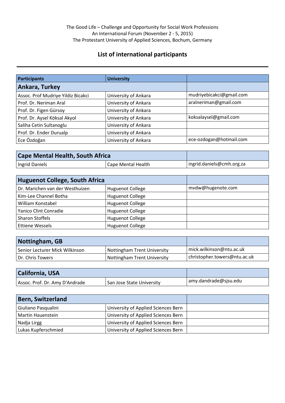#### **List of international participants**

| Participants                       | <b>University</b>    |                          |
|------------------------------------|----------------------|--------------------------|
| Ankara, Turkey                     |                      |                          |
| Assoc. Prof Mudriye Yildiz Bicakci | University of Ankara | mudriyebicakci@gmail.com |
| Prof. Dr. Neriman Aral             | University of Ankara | aralneriman@gmail.com    |
| Prof. Dr. Figen Gürsoy             | University of Ankara |                          |
| Prof. Dr. Aysel Köksal Akyol       | University of Ankara | koksalaysel@gmail.com    |
| Saliha Cetin Sultanoglu            | University of Ankara |                          |
| Prof. Dr. Ender Durualp            | University of Ankara |                          |
| Ece Özdoğan                        | University of Ankara | ece-ozdogan@hotmail.com  |

| <b>Cape Mental Health, South Africa</b> |                    |                           |
|-----------------------------------------|--------------------|---------------------------|
| Ingrid Daniels                          | Cape Mental Health | ingrid.daniels@cmh.org.za |

| <b>Huguenot College, South Africa</b> |                         |                   |
|---------------------------------------|-------------------------|-------------------|
| Dr. Marichen van der Westhuizen       | <b>Huguenot College</b> | mvdw@hugenote.com |
| Kim-Lee Channel Botha                 | <b>Huguenot College</b> |                   |
| William Konstabel                     | <b>Huguenot College</b> |                   |
| Yanico Clint Conradie                 | <b>Huguenot College</b> |                   |
| <b>Sharon Stoffels</b>                | <b>Huguenot College</b> |                   |
| <b>Ettiene Wessels</b>                | <b>Huguenot College</b> |                   |

| Nottingham, GB                 |                             |                              |
|--------------------------------|-----------------------------|------------------------------|
| Senior Lecturer Mick Wilkinson | Nottingham Trent University | mick.wilkinson@ntu.ac.uk     |
| l Dr. Chris Towers             | Nottingham Trent University | christopher.towers@ntu.ac.uk |

| <b>California, USA</b>         |                           |                       |
|--------------------------------|---------------------------|-----------------------|
| Assoc. Prof. Dr. Amy D'Andrade | San Jose State University | amy.dandrade@sjsu.edu |

| <b>Bern, Switzerland</b> |                                     |  |
|--------------------------|-------------------------------------|--|
| Giuliano Pasqualini      | University of Applied Sciences Bern |  |
| Martin Hauenstein        | University of Applied Sciences Bern |  |
| Nadja Lirgg              | University of Applied Sciences Bern |  |
| Lukas Kupferschmied      | University of Applied Sciences Bern |  |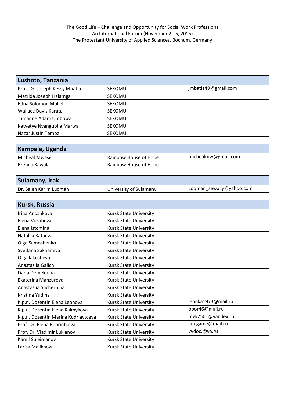| Lushoto, Tanzania             |               |                     |
|-------------------------------|---------------|---------------------|
| Prof. Dr. Joseph Kessy Mbatia | <b>SEKOMU</b> | jmbatia49@gmail.com |
| Matrida Joseph Halamga        | <b>SEKOMU</b> |                     |
| Edna Solomon Mollel           | <b>SEKOMU</b> |                     |
| Wallace Davis Karata          | <b>SEKOMU</b> |                     |
| Jumanne Adam Umbowa           | <b>SEKOMU</b> |                     |
| Katyetye Nyangubha Marwa      | <b>SEKOMU</b> |                     |
| Nazar Justin Temba            | <b>SEKOMU</b> |                     |

| Kampala, Uganda |                       |                     |
|-----------------|-----------------------|---------------------|
| l Micheal Mwase | Rainbow House of Hope | michealmw@gmail.com |
| l Brenda Kawala | Rainbow House of Hope |                     |

| Sulamany, Irak         |                        |                          |
|------------------------|------------------------|--------------------------|
| Dr. Saleh Karim Lugman | University of Sulamany | Loqman_sewaily@yahoo.com |

| Kursk, Russia                       |                               |                    |
|-------------------------------------|-------------------------------|--------------------|
| Irina Anoshkova                     | Kursk State University        |                    |
| Elena Vorobeva                      | <b>Kursk State University</b> |                    |
| Elena Istomina                      | <b>Kursk State University</b> |                    |
| Natalija Kataeva                    | Kursk State University        |                    |
| Olga Samoshenko                     | <b>Kursk State University</b> |                    |
| Svetlana Sakhaneva                  | <b>Kursk State University</b> |                    |
| Olga lakusheva                      | <b>Kursk State University</b> |                    |
| Anastasiia Galich                   | <b>Kursk State University</b> |                    |
| Daria Demekhina                     | <b>Kursk State University</b> |                    |
| Ekaterina Manzurova                 | <b>Kursk State University</b> |                    |
| Anastasiia Shcherbina               | <b>Kursk State University</b> |                    |
| Kristina Yudina                     | <b>Kursk State University</b> |                    |
| K.p.n. Dozentin Elena Leonova       | Kursk State University        | leonka1973@mail.ru |
| K.p.n. Dozentin Elena Kalmykova     | <b>Kursk State University</b> | obor46@mail.ru     |
| K.p.n. Dozentin Marina Kudriavtceva | Kursk State University        | mvk2501@yandex.ru  |
| Prof. Dr. Elena Reprintceva         | <b>Kursk State University</b> | lab.game@mail.ru   |
| Prof. Dr. Vladimir Lukianov         | <b>Kursk State University</b> | vvdoc.@ya.ru       |
| Kamil Suleimanov                    | <b>Kursk State University</b> |                    |
| Larisa Malikhova                    | <b>Kursk State University</b> |                    |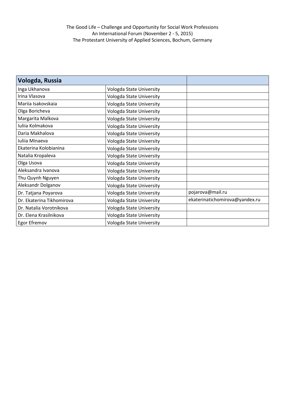#### The Good Life – Challenge and Opportunity for Social Work Professions An International Forum (November 2 - 5, 2015) The Protestant University of Applied Sciences, Bochum, Germany

| Vologda, Russia           |                          |                                |
|---------------------------|--------------------------|--------------------------------|
| Inga Ukhanova             | Vologda State University |                                |
| Irina Vlasova             | Vologda State University |                                |
| Mariia Isakovskaia        | Vologda State University |                                |
| Olga Boricheva            | Vologda State University |                                |
| Margarita Malkova         | Vologda State University |                                |
| Iuliia Kolmakova          | Vologda State University |                                |
| Daria Makhalova           | Vologda State University |                                |
| Iuliia Minaeva            | Vologda State University |                                |
| Ekaterina Kolobianina     | Vologda State University |                                |
| Natalia Kropaleva         | Vologda State University |                                |
| Olga Usova                | Vologda State University |                                |
| Aleksandra Ivanova        | Vologda State University |                                |
| Thu Quynh Nguyen          | Vologda State University |                                |
| Aleksandr Dolganov        | Vologda State University |                                |
| Dr. Tatjana Poyarova      | Vologda State University | pojarova@mail.ru               |
| Dr. Ekaterina Tikhomirova | Vologda State University | ekaterinatichomirova@yandex.ru |
| Dr. Natalia Vorotnikova   | Vologda State University |                                |
| Dr. Elena Krasilnikova    | Vologda State University |                                |
| Egor Efremov              | Vologda State University |                                |